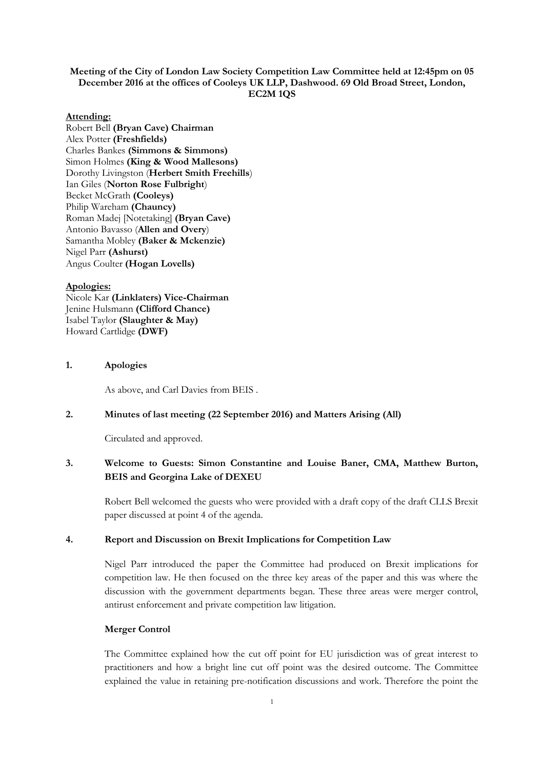## **Meeting of the City of London Law Society Competition Law Committee held at 12:45pm on 05 December 2016 at the offices of Cooleys UK LLP, Dashwood. 69 Old Broad Street, London, EC2M 1QS**

#### **Attending:**

Robert Bell **(Bryan Cave) Chairman** Alex Potter **(Freshfields)** Charles Bankes **(Simmons & Simmons)** Simon Holmes **(King & Wood Mallesons)** Dorothy Livingston (**Herbert Smith Freehills**) Ian Giles (**Norton Rose Fulbright**) Becket McGrath **(Cooleys)** Philip Wareham **(Chauncy)** Roman Madej [Notetaking] **(Bryan Cave)** Antonio Bavasso (**Allen and Overy**) Samantha Mobley **(Baker & Mckenzie)** Nigel Parr **(Ashurst)** Angus Coulter **(Hogan Lovells)**

#### **Apologies:**

Nicole Kar **(Linklaters) Vice-Chairman** Jenine Hulsmann **(Clifford Chance)** Isabel Taylor **(Slaughter & May)** Howard Cartlidge **(DWF)**

## **1. Apologies**

As above, and Carl Davies from BEIS .

## **2. Minutes of last meeting (22 September 2016) and Matters Arising (All)**

Circulated and approved.

# **3. Welcome to Guests: Simon Constantine and Louise Baner, CMA, Matthew Burton, BEIS and Georgina Lake of DEXEU**

Robert Bell welcomed the guests who were provided with a draft copy of the draft CLLS Brexit paper discussed at point 4 of the agenda.

#### **4. Report and Discussion on Brexit Implications for Competition Law**

Nigel Parr introduced the paper the Committee had produced on Brexit implications for competition law. He then focused on the three key areas of the paper and this was where the discussion with the government departments began. These three areas were merger control, antirust enforcement and private competition law litigation.

### **Merger Control**

The Committee explained how the cut off point for EU jurisdiction was of great interest to practitioners and how a bright line cut off point was the desired outcome. The Committee explained the value in retaining pre-notification discussions and work. Therefore the point the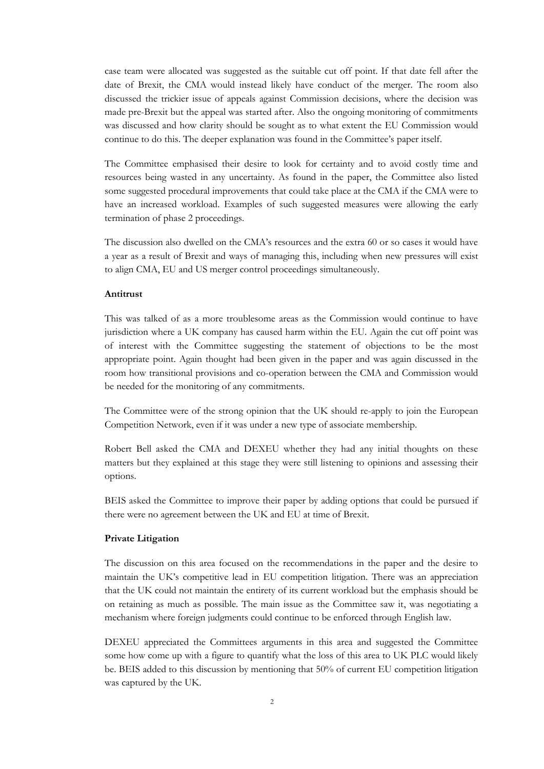case team were allocated was suggested as the suitable cut off point. If that date fell after the date of Brexit, the CMA would instead likely have conduct of the merger. The room also discussed the trickier issue of appeals against Commission decisions, where the decision was made pre-Brexit but the appeal was started after. Also the ongoing monitoring of commitments was discussed and how clarity should be sought as to what extent the EU Commission would continue to do this. The deeper explanation was found in the Committee's paper itself.

The Committee emphasised their desire to look for certainty and to avoid costly time and resources being wasted in any uncertainty. As found in the paper, the Committee also listed some suggested procedural improvements that could take place at the CMA if the CMA were to have an increased workload. Examples of such suggested measures were allowing the early termination of phase 2 proceedings.

The discussion also dwelled on the CMA's resources and the extra 60 or so cases it would have a year as a result of Brexit and ways of managing this, including when new pressures will exist to align CMA, EU and US merger control proceedings simultaneously.

### **Antitrust**

This was talked of as a more troublesome areas as the Commission would continue to have jurisdiction where a UK company has caused harm within the EU. Again the cut off point was of interest with the Committee suggesting the statement of objections to be the most appropriate point. Again thought had been given in the paper and was again discussed in the room how transitional provisions and co-operation between the CMA and Commission would be needed for the monitoring of any commitments.

The Committee were of the strong opinion that the UK should re-apply to join the European Competition Network, even if it was under a new type of associate membership.

Robert Bell asked the CMA and DEXEU whether they had any initial thoughts on these matters but they explained at this stage they were still listening to opinions and assessing their options.

BEIS asked the Committee to improve their paper by adding options that could be pursued if there were no agreement between the UK and EU at time of Brexit.

#### **Private Litigation**

The discussion on this area focused on the recommendations in the paper and the desire to maintain the UK's competitive lead in EU competition litigation. There was an appreciation that the UK could not maintain the entirety of its current workload but the emphasis should be on retaining as much as possible. The main issue as the Committee saw it, was negotiating a mechanism where foreign judgments could continue to be enforced through English law.

DEXEU appreciated the Committees arguments in this area and suggested the Committee some how come up with a figure to quantify what the loss of this area to UK PLC would likely be. BEIS added to this discussion by mentioning that 50% of current EU competition litigation was captured by the UK.